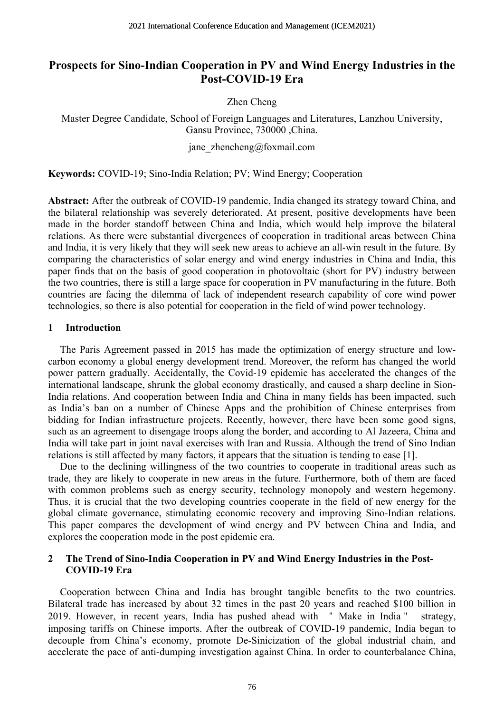# **Prospects for Sino-Indian Cooperation in PV and Wind Energy Industries in the Post-COVID-19 Era**

Zhen Cheng

Master Degree Candidate, School of Foreign Languages and Literatures, Lanzhou University, Gansu Province, 730000 ,China.

jane\_zhencheng@foxmail.com

**Keywords:** COVID-19; Sino-India Relation; PV; Wind Energy; Cooperation

**Abstract:** After the outbreak of COVID-19 pandemic, India changed its strategy toward China, and the bilateral relationship was severely deteriorated. At present, positive developments have been made in the border standoff between China and India, which would help improve the bilateral relations. As there were substantial divergences of cooperation in traditional areas between China and India, it is very likely that they will seek new areas to achieve an all-win result in the future. By comparing the characteristics of solar energy and wind energy industries in China and India, this paper finds that on the basis of good cooperation in photovoltaic (short for PV) industry between the two countries, there is still a large space for cooperation in PV manufacturing in the future. Both countries are facing the dilemma of lack of independent research capability of core wind power technologies, so there is also potential for cooperation in the field of wind power technology.

#### **1 Introduction**

The Paris Agreement passed in 2015 has made the optimization of energy structure and lowcarbon economy a global energy development trend. Moreover, the reform has changed the world power pattern gradually. Accidentally, the Covid-19 epidemic has accelerated the changes of the international landscape, shrunk the global economy drastically, and caused a sharp decline in Sion-India relations. And cooperation between India and China in many fields has been impacted, such as India's ban on a number of Chinese Apps and the prohibition of Chinese enterprises from bidding for Indian infrastructure projects. Recently, however, there have been some good signs, such as an agreement to disengage troops along the border, and according to Al Jazeera, China and India will take part in joint naval exercises with Iran and Russia. Although the trend of Sino Indian relations is still affected by many factors, it appears that the situation is tending to ease [1].

Due to the declining willingness of the two countries to cooperate in traditional areas such as trade, they are likely to cooperate in new areas in the future. Furthermore, both of them are faced with common problems such as energy security, technology monopoly and western hegemony. Thus, it is crucial that the two developing countries cooperate in the field of new energy for the global climate governance, stimulating economic recovery and improving Sino-Indian relations. This paper compares the development of wind energy and PV between China and India, and explores the cooperation mode in the post epidemic era.

#### **2 The Trend of Sino-India Cooperation in PV and Wind Energy Industries in the Post-COVID-19 Era**

Cooperation between China and India has brought tangible benefits to the two countries. Bilateral trade has increased by about 32 times in the past 20 years and reached \$100 billion in 2019. However, in recent years, India has pushed ahead with " Make in India" strategy, imposing tariffs on Chinese imports. After the outbreak of COVID-19 pandemic, India began to decouple from China's economy, promote De-Sinicization of the global industrial chain, and accelerate the pace of anti-dumping investigation against China. In order to counterbalance China,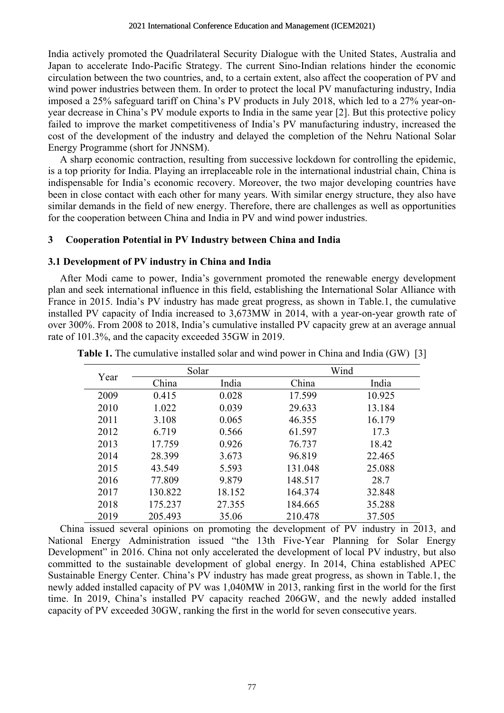India actively promoted the Quadrilateral Security Dialogue with the United States, Australia and Japan to accelerate Indo-Pacific Strategy. The current Sino-Indian relations hinder the economic circulation between the two countries, and, to a certain extent, also affect the cooperation of PV and wind power industries between them. In order to protect the local PV manufacturing industry, India imposed a 25% safeguard tariff on China's PV products in July 2018, which led to a 27% year-onyear decrease in China's PV module exports to India in the same year [2]. But this protective policy failed to improve the market competitiveness of India's PV manufacturing industry, increased the cost of the development of the industry and delayed the completion of the Nehru National Solar Energy Programme (short for JNNSM).

A sharp economic contraction, resulting from successive lockdown for controlling the epidemic, is a top priority for India. Playing an irreplaceable role in the international industrial chain, China is indispensable for India's economic recovery. Moreover, the two major developing countries have been in close contact with each other for many years. With similar energy structure, they also have similar demands in the field of new energy. Therefore, there are challenges as well as opportunities for the cooperation between China and India in PV and wind power industries.

#### **3 Cooperation Potential in PV Industry between China and India**

### **3.1 Development of PV industry in China and India**

After Modi came to power, India's government promoted the renewable energy development plan and seek international influence in this field, establishing the International Solar Alliance with France in 2015. India's PV industry has made great progress, as shown in Table.1, the cumulative installed PV capacity of India increased to 3,673MW in 2014, with a year-on-year growth rate of over 300%. From 2008 to 2018, India's cumulative installed PV capacity grew at an average annual rate of 101.3%, and the capacity exceeded 35GW in 2019.

| Year | Solar   |        | Wind    |        |
|------|---------|--------|---------|--------|
|      | China   | India  | China   | India  |
| 2009 | 0.415   | 0.028  | 17.599  | 10.925 |
| 2010 | 1.022   | 0.039  | 29.633  | 13.184 |
| 2011 | 3.108   | 0.065  | 46.355  | 16.179 |
| 2012 | 6.719   | 0.566  | 61.597  | 17.3   |
| 2013 | 17.759  | 0.926  | 76.737  | 18.42  |
| 2014 | 28.399  | 3.673  | 96.819  | 22.465 |
| 2015 | 43.549  | 5.593  | 131.048 | 25.088 |
| 2016 | 77.809  | 9.879  | 148.517 | 28.7   |
| 2017 | 130.822 | 18.152 | 164.374 | 32.848 |
| 2018 | 175.237 | 27.355 | 184.665 | 35.288 |
| 2019 | 205.493 | 35.06  | 210.478 | 37.505 |

**Table 1.** The cumulative installed solar and wind power in China and India (GW) [3]

China issued several opinions on promoting the development of PV industry in 2013, and National Energy Administration issued "the 13th Five-Year Planning for Solar Energy Development" in 2016. China not only accelerated the development of local PV industry, but also committed to the sustainable development of global energy. In 2014, China established APEC Sustainable Energy Center. China's PV industry has made great progress, as shown in Table.1, the newly added installed capacity of PV was 1,040MW in 2013, ranking first in the world for the first time. In 2019, China's installed PV capacity reached 206GW, and the newly added installed capacity of PV exceeded 30GW, ranking the first in the world for seven consecutive years.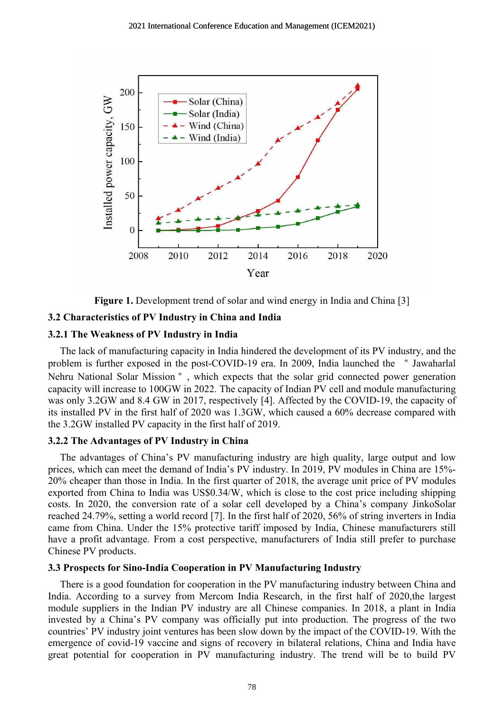

**Figure 1.** Development trend of solar and wind energy in India and China [3]

### **3.2 Characteristics of PV Industry in China and India**

#### **3.2.1 The Weakness of PV Industry in India**

The lack of manufacturing capacity in India hindered the development of its PV industry, and the problem is further exposed in the post-COVID-19 era. In 2009, India launched the "Jawaharlal Nehru National Solar Mission", which expects that the solar grid connected power generation capacity will increase to 100GW in 2022. The capacity of Indian PV cell and module manufacturing was only 3.2GW and 8.4 GW in 2017, respectively [4]. Affected by the COVID-19, the capacity of its installed PV in the first half of 2020 was 1.3GW, which caused a 60% decrease compared with the 3.2GW installed PV capacity in the first half of 2019.

## **3.2.2 The Advantages of PV Industry in China**

The advantages of China's PV manufacturing industry are high quality, large output and low prices, which can meet the demand of India's PV industry. In 2019, PV modules in China are 15%- 20% cheaper than those in India. In the first quarter of 2018, the average unit price of PV modules exported from China to India was US\$0.34/W, which is close to the cost price including shipping costs. In 2020, the conversion rate of a solar cell developed by a China's company JinkoSolar reached 24.79%, setting a world record [7]. In the first half of 2020, 56% of string inverters in India came from China. Under the 15% protective tariff imposed by India, Chinese manufacturers still have a profit advantage. From a cost perspective, manufacturers of India still prefer to purchase Chinese PV products.

# **3.3 Prospects for Sino-India Cooperation in PV Manufacturing Industry**

There is a good foundation for cooperation in the PV manufacturing industry between China and India. According to a survey from Mercom India Research, in the first half of 2020,the largest module suppliers in the Indian PV industry are all Chinese companies. In 2018, a plant in India invested by a China's PV company was officially put into production. The progress of the two countries' PV industry joint ventures has been slow down by the impact of the COVID-19. With the emergence of covid-19 vaccine and signs of recovery in bilateral relations, China and India have great potential for cooperation in PV manufacturing industry. The trend will be to build PV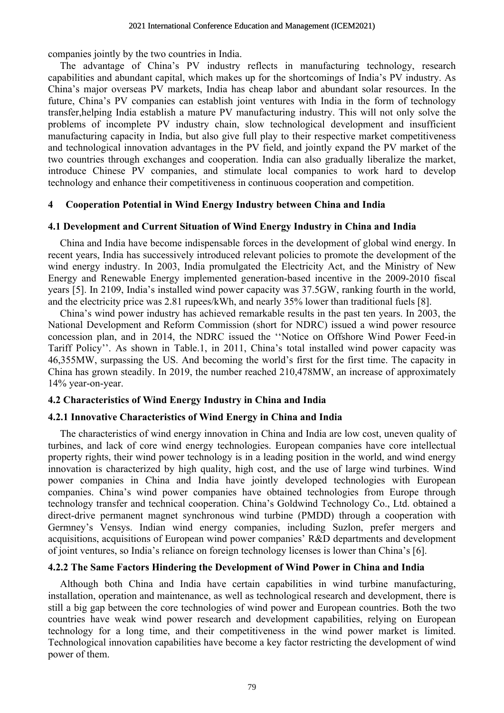companies jointly by the two countries in India.

The advantage of China's PV industry reflects in manufacturing technology, research capabilities and abundant capital, which makes up for the shortcomings of India's PV industry. As China's major overseas PV markets, India has cheap labor and abundant solar resources. In the future, China's PV companies can establish joint ventures with India in the form of technology transfer,helping India establish a mature PV manufacturing industry. This will not only solve the problems of incomplete PV industry chain, slow technological development and insufficient manufacturing capacity in India, but also give full play to their respective market competitiveness and technological innovation advantages in the PV field, and jointly expand the PV market of the two countries through exchanges and cooperation. India can also gradually liberalize the market, introduce Chinese PV companies, and stimulate local companies to work hard to develop technology and enhance their competitiveness in continuous cooperation and competition.

## **4 Cooperation Potential in Wind Energy Industry between China and India**

## **4.1 Development and Current Situation of Wind Energy Industry in China and India**

China and India have become indispensable forces in the development of global wind energy. In recent years, India has successively introduced relevant policies to promote the development of the wind energy industry. In 2003, India promulgated the Electricity Act, and the Ministry of New Energy and Renewable Energy implemented generation-based incentive in the 2009-2010 fiscal years [5]. In 2109, India's installed wind power capacity was 37.5GW, ranking fourth in the world, and the electricity price was 2.81 rupees/kWh, and nearly 35% lower than traditional fuels [8].

China's wind power industry has achieved remarkable results in the past ten years. In 2003, the National Development and Reform Commission (short for NDRC) issued a wind power resource concession plan, and in 2014, the NDRC issued the ''Notice on Offshore Wind Power Feed-in Tariff Policy''. As shown in Table.1, in 2011, China's total installed wind power capacity was 46,355MW, surpassing the US. And becoming the world's first for the first time. The capacity in China has grown steadily. In 2019, the number reached 210,478MW, an increase of approximately 14% year-on-year.

## **4.2 Characteristics of Wind Energy Industry in China and India**

## **4.2.1 Innovative Characteristics of Wind Energy in China and India**

The characteristics of wind energy innovation in China and India are low cost, uneven quality of turbines, and lack of core wind energy technologies. European companies have core intellectual property rights, their wind power technology is in a leading position in the world, and wind energy innovation is characterized by high quality, high cost, and the use of large wind turbines. Wind power companies in China and India have jointly developed technologies with European companies. China's wind power companies have obtained technologies from Europe through technology transfer and technical cooperation. China's Goldwind Technology Co., Ltd. obtained a direct-drive permanent magnet synchronous wind turbine (PMDD) through a cooperation with Germney's Vensys. Indian wind energy companies, including Suzlon, prefer mergers and acquisitions, acquisitions of European wind power companies' R&D departments and development of joint ventures, so India's reliance on foreign technology licenses is lower than China's [6].

## **4.2.2 The Same Factors Hindering the Development of Wind Power in China and India**

Although both China and India have certain capabilities in wind turbine manufacturing, installation, operation and maintenance, as well as technological research and development, there is still a big gap between the core technologies of wind power and European countries. Both the two countries have weak wind power research and development capabilities, relying on European technology for a long time, and their competitiveness in the wind power market is limited. Technological innovation capabilities have become a key factor restricting the development of wind power of them.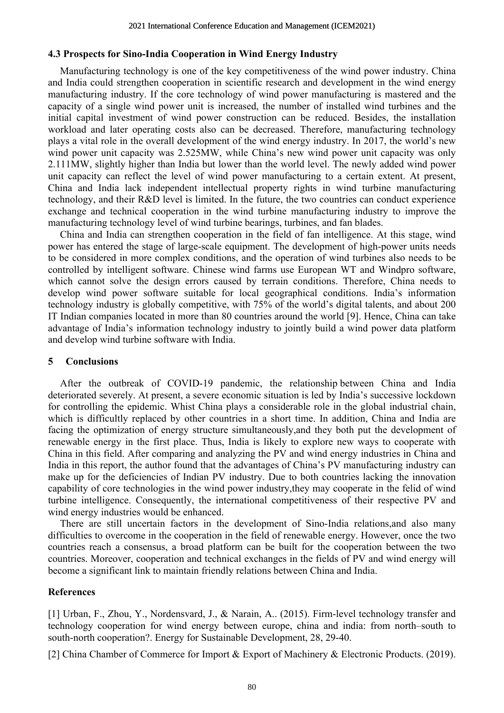#### **4.3 Prospects for Sino-India Cooperation in Wind Energy Industry**

Manufacturing technology is one of the key competitiveness of the wind power industry. China and India could strengthen cooperation in scientific research and development in the wind energy manufacturing industry. If the core technology of wind power manufacturing is mastered and the capacity of a single wind power unit is increased, the number of installed wind turbines and the initial capital investment of wind power construction can be reduced. Besides, the installation workload and later operating costs also can be decreased. Therefore, manufacturing technology plays a vital role in the overall development of the wind energy industry. In 2017, the world's new wind power unit capacity was 2.525MW, while China's new wind power unit capacity was only 2.111MW, slightly higher than India but lower than the world level. The newly added wind power unit capacity can reflect the level of wind power manufacturing to a certain extent. At present, China and India lack independent intellectual property rights in wind turbine manufacturing technology, and their R&D level is limited. In the future, the two countries can conduct experience exchange and technical cooperation in the wind turbine manufacturing industry to improve the manufacturing technology level of wind turbine bearings, turbines, and fan blades.

China and India can strengthen cooperation in the field of fan intelligence. At this stage, wind power has entered the stage of large-scale equipment. The development of high-power units needs to be considered in more complex conditions, and the operation of wind turbines also needs to be controlled by intelligent software. Chinese wind farms use European WT and Windpro software, which cannot solve the design errors caused by terrain conditions. Therefore, China needs to develop wind power software suitable for local geographical conditions. India's information technology industry is globally competitive, with 75% of the world's digital talents, and about 200 IT Indian companies located in more than 80 countries around the world [9]. Hence, China can take advantage of India's information technology industry to jointly build a wind power data platform and develop wind turbine software with India.

#### **5 Conclusions**

After the outbreak of COVID-19 pandemic, the relationship between China and India deteriorated severely. At present, a severe economic situation is led by India's successive lockdown for controlling the epidemic. Whist China plays a considerable role in the global industrial chain, which is difficultly replaced by other countries in a short time. In addition, China and India are facing the optimization of energy structure simultaneously,and they both put the development of renewable energy in the first place. Thus, India is likely to explore new ways to cooperate with China in this field. After comparing and analyzing the PV and wind energy industries in China and India in this report, the author found that the advantages of China's PV manufacturing industry can make up for the deficiencies of Indian PV industry. Due to both countries lacking the innovation capability of core technologies in the wind power industry,they may cooperate in the felid of wind turbine intelligence. Consequently, the international competitiveness of their respective PV and wind energy industries would be enhanced.

There are still uncertain factors in the development of Sino-India relations,and also many difficulties to overcome in the cooperation in the field of renewable energy. However, once the two countries reach a consensus, a broad platform can be built for the cooperation between the two countries. Moreover, cooperation and technical exchanges in the fields of PV and wind energy will become a significant link to maintain friendly relations between China and India.

#### **References**

[1] Urban, F., Zhou, Y., Nordensvard, J., & Narain, A.. (2015). Firm-level technology transfer and technology cooperation for wind energy between europe, china and india: from north–south to south-north cooperation?. Energy for Sustainable Development, 28, 29-40.

[2] China Chamber of Commerce for Import & Export of Machinery & Electronic Products. (2019).